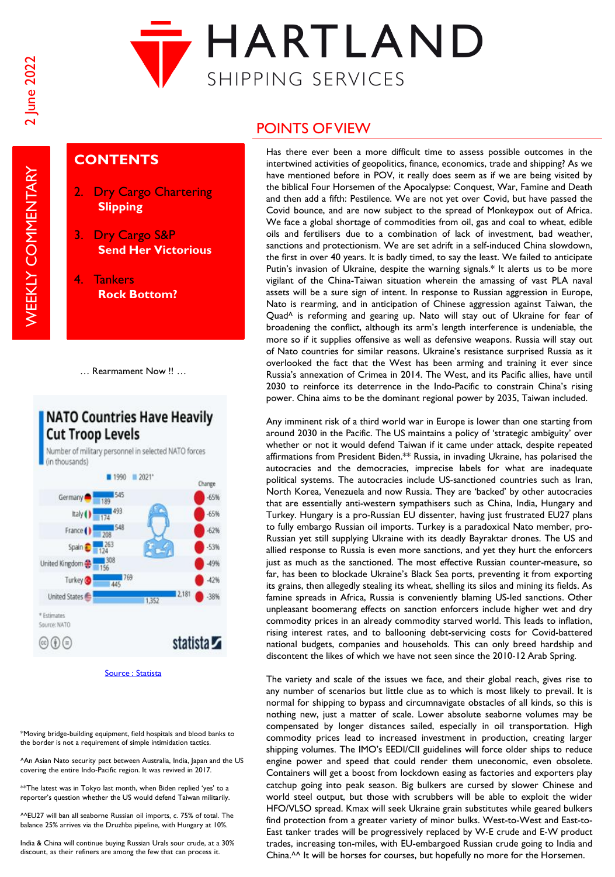**WEEKLY COMMENTARY** 



## **CONTENTS**

- 2. Dry Cargo Chartering **Slipping**
- 3. Dry Cargo S&P **Send Her Victorious**
- 4. Tankers **Rock Bottom?**

… Rearmament Now !! …

## **NATO Countries Have Heavily Cut Troop Levels**

Number of military personnel in selected NATO forces (in thousands)  $1990 = 2021$ Germany

Change  $-65%$  $-65%$ France  $-62%$  $-53%$ Spain United Kingdom  $-49%$ **Turkey**  $-42%$ **AAC** United States  $.38%$ 1,357 \* Estimates Source: NATO statista Z  $\circledcircled{f}$ 

[Source : Statista](https://www.statista.com/)

\*Moving bridge-building equipment, field hospitals and blood banks to the border is not a requirement of simple intimidation tactics.

^An Asian Nato security pact between Australia, India, Japan and the US covering the entire Indo-Pacific region. It was revived in 2017.

\*\*The latest was in Tokyo last month, when Biden replied 'yes' to a reporter's question whether the US would defend Taiwan militarily.

^^EU27 will ban all seaborne Russian oil imports, c. 75% of total. The balance 25% arrives via the Druzhba pipeline, with Hungary at 10%.

India & China will continue buying Russian Urals sour crude, at a 30% discount, as their refiners are among the few that can process it.

## POINTS OF VIEW

Has there ever been a more difficult time to assess possible outcomes in the intertwined activities of geopolitics, finance, economics, trade and shipping? As we have mentioned before in POV, it really does seem as if we are being visited by the biblical Four Horsemen of the Apocalypse: Conquest, War, Famine and Death and then add a fifth: Pestilence. We are not yet over Covid, but have passed the Covid bounce, and are now subject to the spread of Monkeypox out of Africa. We face a global shortage of commodities from oil, gas and coal to wheat, edible oils and fertilisers due to a combination of lack of investment, bad weather, sanctions and protectionism. We are set adrift in a self-induced China slowdown, the first in over 40 years. It is badly timed, to say the least. We failed to anticipate Putin's invasion of Ukraine, despite the warning signals.\* It alerts us to be more vigilant of the China-Taiwan situation wherein the amassing of vast PLA naval assets will be a sure sign of intent. In response to Russian aggression in Europe, Nato is rearming, and in anticipation of Chinese aggression against Taiwan, the Quad^ is reforming and gearing up. Nato will stay out of Ukraine for fear of broadening the conflict, although its arm's length interference is undeniable, the more so if it supplies offensive as well as defensive weapons. Russia will stay out of Nato countries for similar reasons. Ukraine's resistance surprised Russia as it overlooked the fact that the West has been arming and training it ever since Russia's annexation of Crimea in 2014. The West, and its Pacific allies, have until 2030 to reinforce its deterrence in the Indo-Pacific to constrain China's rising power. China aims to be the dominant regional power by 2035, Taiwan included.

Any imminent risk of a third world war in Europe is lower than one starting from around 2030 in the Pacific. The US maintains a policy of 'strategic ambiguity' over whether or not it would defend Taiwan if it came under attack, despite repeated affirmations from President Biden.\*\* Russia, in invading Ukraine, has polarised the autocracies and the democracies, imprecise labels for what are inadequate political systems. The autocracies include US-sanctioned countries such as Iran, North Korea, Venezuela and now Russia. They are 'backed' by other autocracies that are essentially anti-western sympathisers such as China, India, Hungary and Turkey. Hungary is a pro-Russian EU dissenter, having just frustrated EU27 plans to fully embargo Russian oil imports. Turkey is a paradoxical Nato member, pro-Russian yet still supplying Ukraine with its deadly Bayraktar drones. The US and allied response to Russia is even more sanctions, and yet they hurt the enforcers just as much as the sanctioned. The most effective Russian counter-measure, so far, has been to blockade Ukraine's Black Sea ports, preventing it from exporting its grains, then allegedly stealing its wheat, shelling its silos and mining its fields. As famine spreads in Africa, Russia is conveniently blaming US-led sanctions. Other unpleasant boomerang effects on sanction enforcers include higher wet and dry commodity prices in an already commodity starved world. This leads to inflation, rising interest rates, and to ballooning debt-servicing costs for Covid-battered national budgets, companies and households. This can only breed hardship and discontent the likes of which we have not seen since the 2010-12 Arab Spring.

The variety and scale of the issues we face, and their global reach, gives rise to any number of scenarios but little clue as to which is most likely to prevail. It is normal for shipping to bypass and circumnavigate obstacles of all kinds, so this is nothing new, just a matter of scale. Lower absolute seaborne volumes may be compensated by longer distances sailed, especially in oil transportation. High commodity prices lead to increased investment in production, creating larger shipping volumes. The IMO's EEDI/CII guidelines will force older ships to reduce engine power and speed that could render them uneconomic, even obsolete. Containers will get a boost from lockdown easing as factories and exporters play catchup going into peak season. Big bulkers are cursed by slower Chinese and world steel output, but those with scrubbers will be able to exploit the wider HFO/VLSO spread. Kmax will seek Ukraine grain substitutes while geared bulkers find protection from a greater variety of minor bulks. West-to-West and East-to-East tanker trades will be progressively replaced by W-E crude and E-W product trades, increasing ton-miles, with EU-embargoed Russian crude going to India and China.<sup>^^</sup> It will be horses for courses, but hopefully no more for the Horsemen.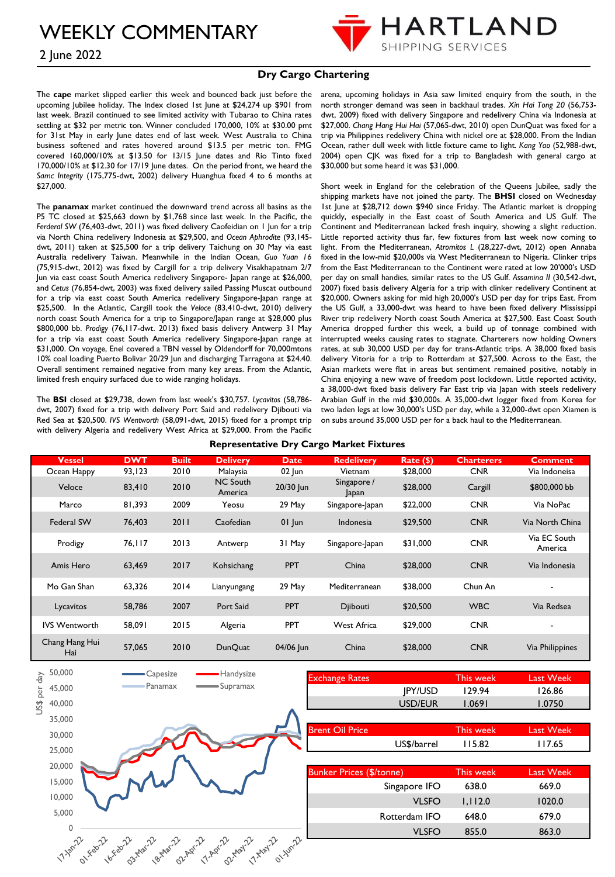2 June 2022



### **Dry Cargo Chartering**

The **cape** market slipped earlier this week and bounced back just before the upcoming Jubilee holiday. The Index closed 1st June at \$24,274 up \$901 from last week. Brazil continued to see limited activity with Tubarao to China rates settling at \$32 per metric ton. Winner concluded 170,000, 10% at \$30.00 pmt for 31st May in early June dates end of last week. West Australia to China business softened and rates hovered around \$13.5 per metric ton. FMG covered 160,000/10% at \$13.50 for 13/15 June dates and Rio Tinto fixed 170,000/10% at \$12.30 for 17/19 June dates. On the period front, we heard the *Samc Integrity* (175,775-dwt, 2002) delivery Huanghua fixed 4 to 6 months at \$27,000.

The **panamax** market continued the downward trend across all basins as the P5 TC closed at \$25,663 down by \$1,768 since last week. In the Pacific, the *Ferderal SW* (76,403-dwt, 2011) was fixed delivery Caofeidian on 1 Jun for a trip via North China redelivery Indonesia at \$29,500, and *Ocean Aphrodite* (93,145 dwt, 2011) taken at \$25,500 for a trip delivery Taichung on 30 May via east Australia redelivery Taiwan. Meanwhile in the Indian Ocean, *Guo Yuan 16* (75,915-dwt, 2012) was fixed by Cargill for a trip delivery Visakhapatnam 2/7 Jun via east coast South America redelivery Singapore- Japan range at \$26,000, and *Cetus* (76,854-dwt, 2003) was fixed delivery sailed Passing Muscat outbound for a trip via east coast South America redelivery Singapore-Japan range at \$25,500. In the Atlantic, Cargill took the *Veloce* (83,410-dwt, 2010) delivery north coast South America for a trip to Singapore/Japan range at \$28,000 plus \$800,000 bb. *Prodigy* (76,117-dwt. 2013) fixed basis delivery Antwerp 31 May for a trip via east coast South America redelivery Singapore-Japan range at \$31,000. On voyage, Enel covered a TBN vessel by Oldendorff for 70,000mtons 10% coal loading Puerto Bolivar 20/29 Jun and discharging Tarragona at \$24.40. Overall sentiment remained negative from many key areas. From the Atlantic, limited fresh enquiry surfaced due to wide ranging holidays.

The **BSI** closed at \$29,738, down from last week's \$30,757. *Lycavitos* (58,786 dwt, 2007) fixed for a trip with delivery Port Said and redelivery Djibouti via Red Sea at \$20,500. *IVS Wentworth* (58,091-dwt, 2015) fixed for a prompt trip with delivery Algeria and redelivery West Africa at \$29,000. From the Pacific arena, upcoming holidays in Asia saw limited enquiry from the south, in the north stronger demand was seen in backhaul trades. *Xin Hai Tong 20* (56,753 dwt, 2009) fixed with delivery Singapore and redelivery China via Indonesia at \$27,000. *Chang Hang Hui Hai* (57,065-dwt, 2010) open DunQuat was fixed for a trip via Philippines redelivery China with nickel ore at \$28,000. From the Indian Ocean, rather dull week with little fixture came to light*. Kang Yao* (52,988-dwt, 2004) open CJK was fixed for a trip to Bangladesh with general cargo at \$30,000 but some heard it was \$31,000.

Short week in England for the celebration of the Queens Jubilee, sadly the shipping markets have not joined the party. The **BHSI** closed on Wednesday 1st June at \$28,712 down \$940 since Friday. The Atlantic market is dropping quickly, especially in the East coast of South America and US Gulf. The Continent and Mediterranean lacked fresh inquiry, showing a slight reduction. Little reported activity thus far, few fixtures from last week now coming to light. From the Mediterranean, *Atromitos L* (28,227-dwt, 2012) open Annaba fixed in the low-mid \$20,000s via West Mediterranean to Nigeria. Clinker trips from the East Mediterranean to the Continent were rated at low 20'000's USD per day on small handies, similar rates to the US Gulf. *Assamina II* (30,542-dwt, 2007) fixed basis delivery Algeria for a trip with clinker redelivery Continent at \$20,000. Owners asking for mid high 20,000's USD per day for trips East. From the US Gulf, a 33,000-dwt was heard to have been fixed delivery Mississippi River trip redelivery North coast South America at \$27,500. East Coast South America dropped further this week, a build up of tonnage combined with interrupted weeks causing rates to stagnate. Charterers now holding Owners rates, at sub 30,000 USD per day for trans-Atlantic trips. A 38,000 fixed basis delivery Vitoria for a trip to Rotterdam at \$27,500. Across to the East, the Asian markets were flat in areas but sentiment remained positive, notably in China enjoying a new wave of freedom post lockdown. Little reported activity, a 38,000-dwt fixed basis delivery Far East trip via Japan with steels redelivery Arabian Gulf in the mid \$30,000s. A 35,000-dwt logger fixed from Korea for two laden legs at low 30,000's USD per day, while a 32,000-dwt open Xiamen is on subs around 35,000 USD per for a back haul to the Mediterranean.

| <b>Vessel</b>         | <b>DWT</b> | <b>Built</b> | <b>Delivery</b>            | Date,      | <b>Redelivery</b>    | Rate (\$) | <b>Charterers</b> | <b>Comment</b>          |
|-----------------------|------------|--------------|----------------------------|------------|----------------------|-----------|-------------------|-------------------------|
| Ocean Happy           | 93,123     | 2010         | Malaysia                   | $02$ Jun   | Vietnam              | \$28,000  | <b>CNR</b>        | Via Indoneisa           |
| Veloce                | 83,410     | 2010         | <b>NC South</b><br>America | 20/30 Jun  | Singapore /<br>Japan | \$28,000  | Cargill           | \$800,000 bb            |
| Marco                 | 81,393     | 2009         | Yeosu                      | 29 May     | Singapore-Japan      | \$22,000  | <b>CNR</b>        | Via NoPac               |
| Federal SW            | 76,403     | 2011         | Caofedian                  | $01$ Jun   | Indonesia            | \$29,500  | <b>CNR</b>        | Via North China         |
| Prodigy               | 76,117     | 2013         | Antwerp                    | 31 May     | Singapore-Japan      | \$31,000  | <b>CNR</b>        | Via EC South<br>America |
| Amis Hero             | 63,469     | 2017         | Kohsichang                 | <b>PPT</b> | China                | \$28,000  | <b>CNR</b>        | Via Indonesia           |
| Mo Gan Shan           | 63,326     | 2014         | Lianyungang                | 29 May     | Mediterranean        | \$38,000  | Chun An           |                         |
| Lycavitos             | 58,786     | 2007         | Port Said                  | <b>PPT</b> | Djibouti             | \$20,500  | <b>WBC</b>        | Via Redsea              |
| <b>IVS Wentworth</b>  | 58,091     | 2015         | Algeria                    | PPT        | West Africa          | \$29,000  | <b>CNR</b>        | -                       |
| Chang Hang Hui<br>Hai | 57,065     | 2010         | <b>DunQuat</b>             | 04/06 Jun  | China                | \$28,000  | <b>CNR</b>        | Via Philippines         |

**Representative Dry Cargo Market Fixtures**



|                        | US\$/barrel |                  | 117.65           |
|------------------------|-------------|------------------|------------------|
|                        |             | 115.82           |                  |
| <b>Brent Oil Price</b> |             | This week        | <b>Last Week</b> |
|                        |             |                  |                  |
|                        | USD/EUR     | 1.0750<br>1.0691 |                  |
| <b>IPY/USD</b>         |             | 129.94           | 126.86           |
|                        |             |                  |                  |

| <b>Bunker Prices (\$/tonne)</b> | This week | Last Week |
|---------------------------------|-----------|-----------|
| Singapore IFO                   | 638.0     | 669.0     |
| <b>VLSFO</b>                    | 1.112.0   | 1020.0    |
| Rotterdam IFO                   | 648.0     | 679.0     |
| VLSFO                           | 855.0     | 863.0     |
|                                 |           |           |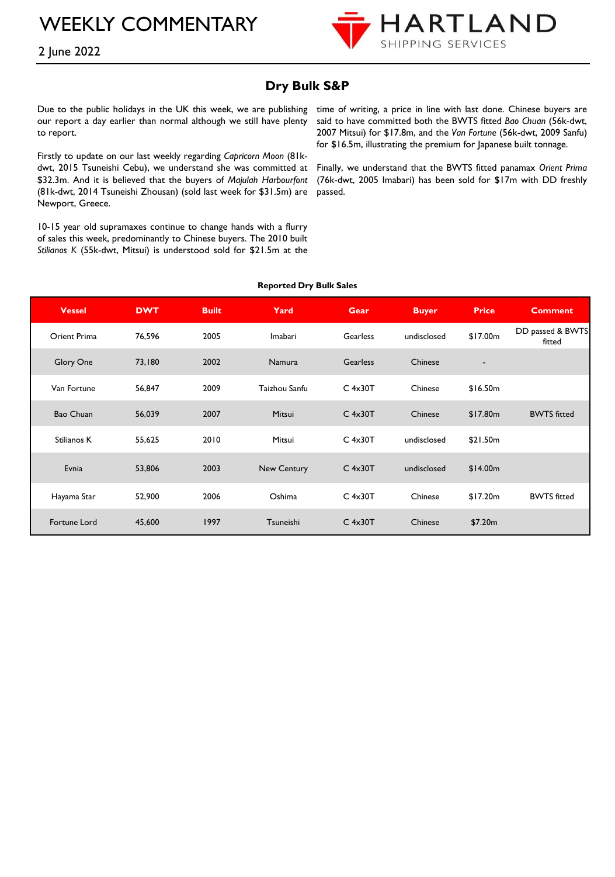

# **Dry Bulk S&P**

Due to the public holidays in the UK this week, we are publishing our report a day earlier than normal although we still have plenty to report.

Firstly to update on our last weekly regarding *Capricorn Moon* (81kdwt, 2015 Tsuneishi Cebu), we understand she was committed at \$32.3m. And it is believed that the buyers of *Majulah Harbourfont* (81k-dwt, 2014 Tsuneishi Zhousan) (sold last week for \$31.5m) are Newport, Greece.

10-15 year old supramaxes continue to change hands with a flurry of sales this week, predominantly to Chinese buyers. The 2010 built *Stilianos K* (55k-dwt, Mitsui) is understood sold for \$21.5m at the

time of writing, a price in line with last done. Chinese buyers are said to have committed both the BWTS fitted *Bao Chuan* (56k-dwt, 2007 Mitsui) for \$17.8m, and the *Van Fortune* (56k-dwt, 2009 Sanfu) for \$16.5m, illustrating the premium for Japanese built tonnage.

Finally, we understand that the BWTS fitted panamax *Orient Prima* (76k-dwt, 2005 Imabari) has been sold for \$17m with DD freshly passed.

| <b>Vessel</b> | <b>DWT</b> | <b>Built</b> | Yard          | <b>Gear</b>     | <b>Buyer</b> | <b>Price</b>             | <b>Comment</b>             |
|---------------|------------|--------------|---------------|-----------------|--------------|--------------------------|----------------------------|
| Orient Prima  | 76,596     | 2005         | Imabari       | <b>Gearless</b> | undisclosed  | \$17.00m                 | DD passed & BWTS<br>fitted |
| Glory One     | 73,180     | 2002         | Namura        | <b>Gearless</b> | Chinese      | $\overline{\phantom{a}}$ |                            |
| Van Fortune   | 56,847     | 2009         | Taizhou Sanfu | $C$ 4x30T       | Chinese      | \$16.50m                 |                            |
| Bao Chuan     | 56,039     | 2007         | Mitsui        | $C$ 4x30T       | Chinese      | \$17.80m                 | <b>BWTS</b> fitted         |
| Stilianos K   | 55,625     | 2010         | Mitsui        | $C$ 4x30T       | undisclosed  | \$21.50m                 |                            |
| Evnia         | 53,806     | 2003         | New Century   | $C$ 4x30T       | undisclosed  | \$14.00m                 |                            |
| Hayama Star   | 52,900     | 2006         | Oshima        | $C$ 4x30T       | Chinese      | \$17.20m                 | <b>BWTS</b> fitted         |
| Fortune Lord  | 45,600     | 1997         | Tsuneishi     | $C$ 4x30T       | Chinese      | \$7.20m                  |                            |

#### **Reported Dry Bulk Sales**

## 2 June 2022